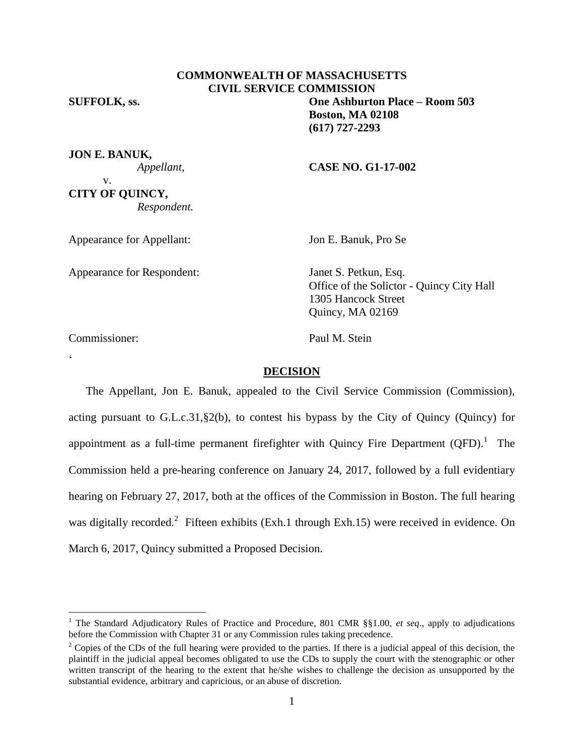# **COMMONWEALTH OF MASSACHUSETTS CIVIL SERVICE COMMISSION**

**SUFFOLK, ss. One Ashburton Place – Room 503 Boston, MA 02108 (617) 727-2293**

**JON E. BANUK,**

#### *Appellant,* **CASE NO. G1-17-002**

v. **CITY OF QUINCY,** *Respondent.*

Appearance for Appellant: Jon E. Banuk, Pro Se

Appearance for Respondent: Janet S. Petkun, Esq.

Office of the Solictor - Quincy City Hall 1305 Hancock Street Quincy, MA 02169

Commissioner: Paul M. Stein

 $\zeta$ 

 $\overline{a}$ 

## **DECISION**

The Appellant, Jon E. Banuk, appealed to the Civil Service Commission (Commission), acting pursuant to G.L.c.31,§2(b), to contest his bypass by the City of Quincy (Quincy) for appointment as a full-time permanent firefighter with Quincy Fire Department  $(QFD)$ .<sup>1</sup> The Commission held a pre-hearing conference on January 24, 2017, followed by a full evidentiary hearing on February 27, 2017, both at the offices of the Commission in Boston. The full hearing was digitally recorded.<sup>2</sup> Fifteen exhibits (Exh.1 through Exh.15) were received in evidence. On March 6, 2017, Quincy submitted a Proposed Decision.

<sup>&</sup>lt;sup>1</sup> The Standard Adjudicatory Rules of Practice and Procedure, 801 CMR §§1.00, et seq., apply to adjudications before the Commission with Chapter 31 or any Commission rules taking precedence.

 $2$  Copies of the CDs of the full hearing were provided to the parties. If there is a judicial appeal of this decision, the plaintiff in the judicial appeal becomes obligated to use the CDs to supply the court with the stenographic or other written transcript of the hearing to the extent that he/she wishes to challenge the decision as unsupported by the substantial evidence, arbitrary and capricious, or an abuse of discretion.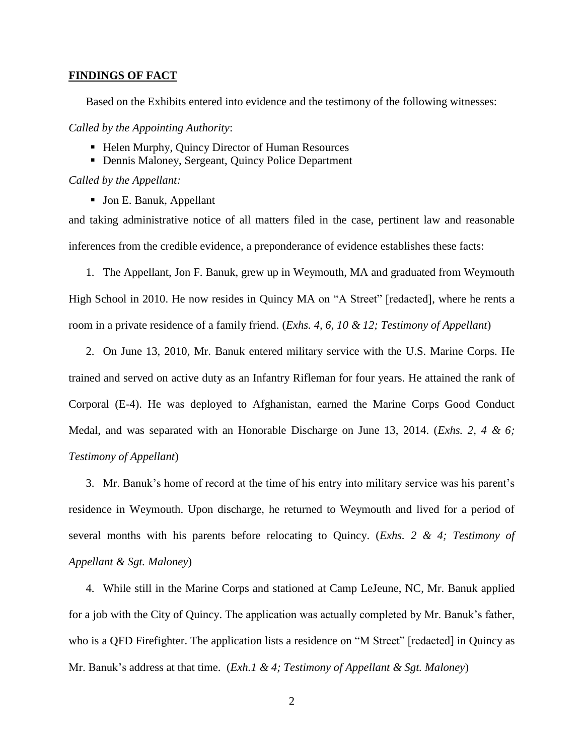# **FINDINGS OF FACT**

Based on the Exhibits entered into evidence and the testimony of the following witnesses:

*Called by the Appointing Authority*:

- Helen Murphy, Quincy Director of Human Resources
- Dennis Maloney, Sergeant, Quincy Police Department

*Called by the Appellant:*

■ Jon E. Banuk, Appellant

and taking administrative notice of all matters filed in the case, pertinent law and reasonable inferences from the credible evidence, a preponderance of evidence establishes these facts:

1. The Appellant, Jon F. Banuk, grew up in Weymouth, MA and graduated from Weymouth High School in 2010. He now resides in Quincy MA on "A Street" [redacted], where he rents a room in a private residence of a family friend. (*Exhs. 4, 6, 10 & 12; Testimony of Appellant*)

2. On June 13, 2010, Mr. Banuk entered military service with the U.S. Marine Corps. He trained and served on active duty as an Infantry Rifleman for four years. He attained the rank of Corporal (E-4). He was deployed to Afghanistan, earned the Marine Corps Good Conduct Medal, and was separated with an Honorable Discharge on June 13, 2014. (*Exhs. 2, 4 & 6; Testimony of Appellant*)

3. Mr. Banuk's home of record at the time of his entry into military service was his parent's residence in Weymouth. Upon discharge, he returned to Weymouth and lived for a period of several months with his parents before relocating to Quincy. (*Exhs. 2 & 4; Testimony of Appellant & Sgt. Maloney*)

4. While still in the Marine Corps and stationed at Camp LeJeune, NC, Mr. Banuk applied for a job with the City of Quincy. The application was actually completed by Mr. Banuk's father, who is a QFD Firefighter. The application lists a residence on "M Street" [redacted] in Quincy as Mr. Banuk's address at that time. (*Exh.1 & 4; Testimony of Appellant & Sgt. Maloney*)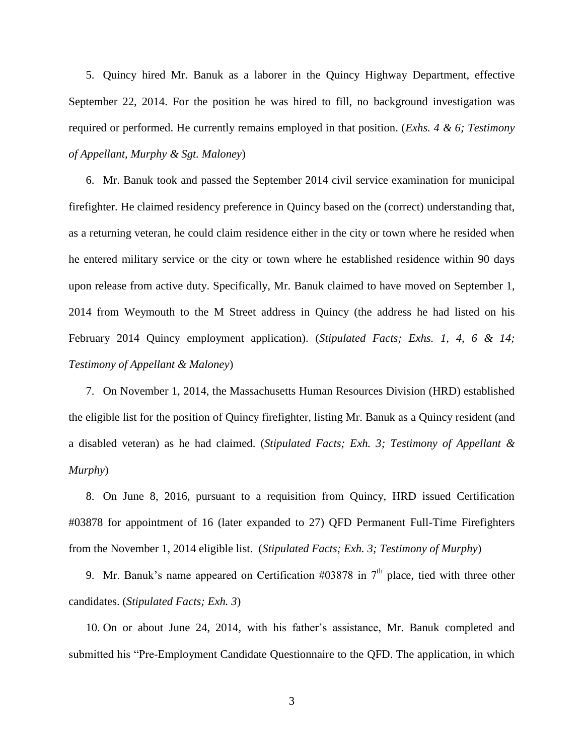5. Quincy hired Mr. Banuk as a laborer in the Quincy Highway Department, effective September 22, 2014. For the position he was hired to fill, no background investigation was required or performed. He currently remains employed in that position. (*Exhs. 4 & 6; Testimony of Appellant, Murphy & Sgt. Maloney*)

6. Mr. Banuk took and passed the September 2014 civil service examination for municipal firefighter. He claimed residency preference in Quincy based on the (correct) understanding that, as a returning veteran, he could claim residence either in the city or town where he resided when he entered military service or the city or town where he established residence within 90 days upon release from active duty. Specifically, Mr. Banuk claimed to have moved on September 1, 2014 from Weymouth to the M Street address in Quincy (the address he had listed on his February 2014 Quincy employment application). (*Stipulated Facts; Exhs. 1, 4, 6 & 14; Testimony of Appellant & Maloney*)

7. On November 1, 2014, the Massachusetts Human Resources Division (HRD) established the eligible list for the position of Quincy firefighter, listing Mr. Banuk as a Quincy resident (and a disabled veteran) as he had claimed. (*Stipulated Facts; Exh. 3; Testimony of Appellant & Murphy*)

8. On June 8, 2016, pursuant to a requisition from Quincy, HRD issued Certification #03878 for appointment of 16 (later expanded to 27) QFD Permanent Full-Time Firefighters from the November 1, 2014 eligible list. (*Stipulated Facts; Exh. 3; Testimony of Murphy*)

9. Mr. Banuk's name appeared on Certification  $\#03878$  in  $7<sup>th</sup>$  place, tied with three other candidates. (*Stipulated Facts; Exh. 3*)

10. On or about June 24, 2014, with his father's assistance, Mr. Banuk completed and submitted his "Pre-Employment Candidate Questionnaire to the QFD. The application, in which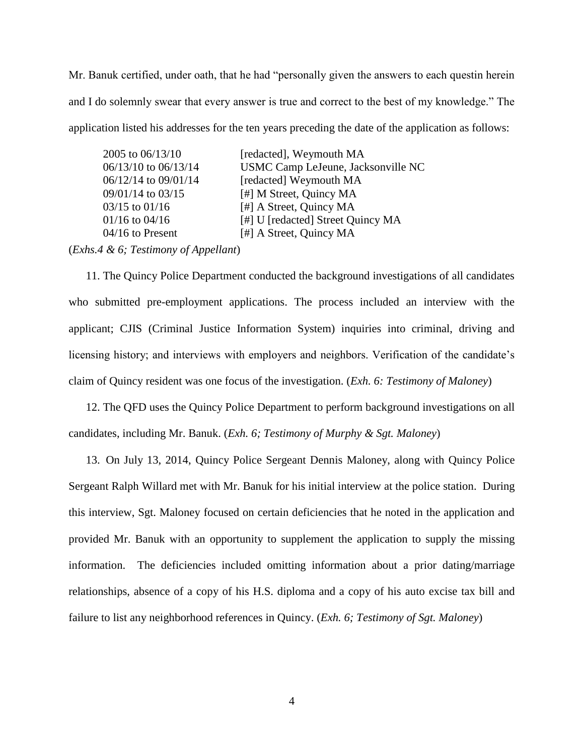Mr. Banuk certified, under oath, that he had "personally given the answers to each questin herein and I do solemnly swear that every answer is true and correct to the best of my knowledge." The application listed his addresses for the ten years preceding the date of the application as follows:

| 2005 to 06/13/10     | [redacted], Weymouth MA            |
|----------------------|------------------------------------|
| 06/13/10 to 06/13/14 | USMC Camp LeJeune, Jacksonville NC |
| 06/12/14 to 09/01/14 | [redacted] Weymouth MA             |
| 09/01/14 to 03/15    | [#] M Street, Quincy MA            |
| 03/15 to 01/16       | [#] A Street, Quincy MA            |
| 01/16 to 04/16       | [#] U [redacted] Street Quincy MA  |
| 04/16 to Present     | [#] A Street, Quincy MA            |

(*Exhs.4 & 6; Testimony of Appellant*)

11. The Quincy Police Department conducted the background investigations of all candidates who submitted pre-employment applications. The process included an interview with the applicant; CJIS (Criminal Justice Information System) inquiries into criminal, driving and licensing history; and interviews with employers and neighbors. Verification of the candidate's claim of Quincy resident was one focus of the investigation. (*Exh. 6: Testimony of Maloney*)

12. The QFD uses the Quincy Police Department to perform background investigations on all candidates, including Mr. Banuk. (*Exh. 6; Testimony of Murphy & Sgt. Maloney*)

13. On July 13, 2014, Quincy Police Sergeant Dennis Maloney, along with Quincy Police Sergeant Ralph Willard met with Mr. Banuk for his initial interview at the police station. During this interview, Sgt. Maloney focused on certain deficiencies that he noted in the application and provided Mr. Banuk with an opportunity to supplement the application to supply the missing information. The deficiencies included omitting information about a prior dating/marriage relationships, absence of a copy of his H.S. diploma and a copy of his auto excise tax bill and failure to list any neighborhood references in Quincy. (*Exh. 6; Testimony of Sgt. Maloney*)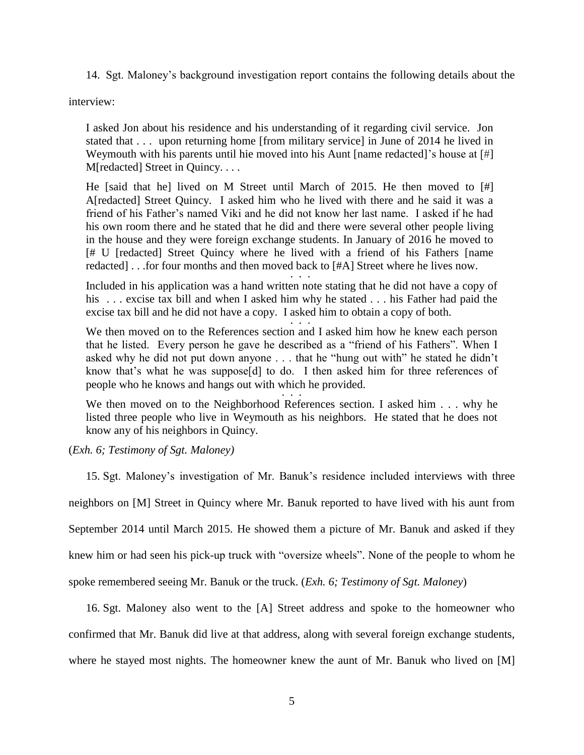14. Sgt. Maloney's background investigation report contains the following details about the

interview:

I asked Jon about his residence and his understanding of it regarding civil service. Jon stated that . . . upon returning home [from military service] in June of 2014 he lived in Weymouth with his parents until hie moved into his Aunt [name redacted]'s house at [#] M[redacted] Street in Quincy. . . .

He [said that he] lived on M Street until March of 2015. He then moved to [#] A[redacted] Street Quincy. I asked him who he lived with there and he said it was a friend of his Father's named Viki and he did not know her last name. I asked if he had his own room there and he stated that he did and there were several other people living in the house and they were foreign exchange students. In January of 2016 he moved to [# U [redacted] Street Quincy where he lived with a friend of his Fathers [name redacted] . . .for four months and then moved back to [#A] Street where he lives now. . . . .<br>. . .

Included in his application was a hand written note stating that he did not have a copy of his . . . excise tax bill and when I asked him why he stated . . . his Father had paid the excise tax bill and he did not have a copy. I asked him to obtain a copy of both. . . . .<br>. . .

We then moved on to the References section and I asked him how he knew each person that he listed. Every person he gave he described as a "friend of his Fathers". When I asked why he did not put down anyone . . . that he "hung out with" he stated he didn't know that's what he was suppose[d] to do. I then asked him for three references of people who he knows and hangs out with which he provided. . . . .<br>. . .

We then moved on to the Neighborhood References section. I asked him . . . why he listed three people who live in Weymouth as his neighbors. He stated that he does not know any of his neighbors in Quincy.

(*Exh. 6; Testimony of Sgt. Maloney)*

15. Sgt. Maloney's investigation of Mr. Banuk's residence included interviews with three neighbors on [M] Street in Quincy where Mr. Banuk reported to have lived with his aunt from September 2014 until March 2015. He showed them a picture of Mr. Banuk and asked if they knew him or had seen his pick-up truck with "oversize wheels". None of the people to whom he spoke remembered seeing Mr. Banuk or the truck. (*Exh. 6; Testimony of Sgt. Maloney*)

16. Sgt. Maloney also went to the [A] Street address and spoke to the homeowner who confirmed that Mr. Banuk did live at that address, along with several foreign exchange students, where he stayed most nights. The homeowner knew the aunt of Mr. Banuk who lived on [M]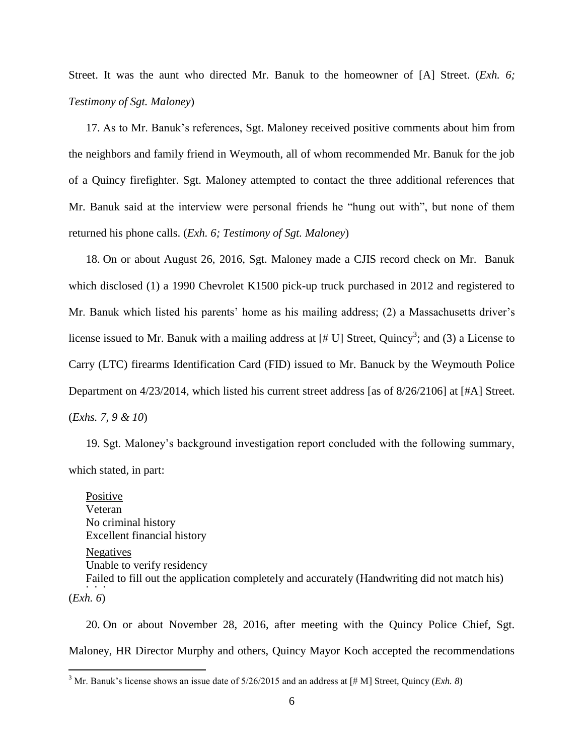Street. It was the aunt who directed Mr. Banuk to the homeowner of [A] Street. (*Exh. 6; Testimony of Sgt. Maloney*)

17. As to Mr. Banuk's references, Sgt. Maloney received positive comments about him from the neighbors and family friend in Weymouth, all of whom recommended Mr. Banuk for the job of a Quincy firefighter. Sgt. Maloney attempted to contact the three additional references that Mr. Banuk said at the interview were personal friends he "hung out with", but none of them returned his phone calls. (*Exh. 6; Testimony of Sgt. Maloney*)

18. On or about August 26, 2016, Sgt. Maloney made a CJIS record check on Mr. Banuk which disclosed (1) a 1990 Chevrolet K1500 pick-up truck purchased in 2012 and registered to Mr. Banuk which listed his parents' home as his mailing address; (2) a Massachusetts driver's license issued to Mr. Banuk with a mailing address at  $[# U]$  Street, Quincy<sup>3</sup>; and (3) a License to Carry (LTC) firearms Identification Card (FID) issued to Mr. Banuck by the Weymouth Police Department on 4/23/2014, which listed his current street address [as of 8/26/2106] at [#A] Street. (*Exhs. 7, 9 & 10*)

19. Sgt. Maloney's background investigation report concluded with the following summary, which stated, in part:

Positive Veteran No criminal history Excellent financial history **Negatives** Unable to verify residency Failed to fill out the application completely and accurately (Handwriting did not match his) (*Exh. 6*)

20. On or about November 28, 2016, after meeting with the Quincy Police Chief, Sgt. Maloney, HR Director Murphy and others, Quincy Mayor Koch accepted the recommendations

 $\overline{a}$ 

<sup>&</sup>lt;sup>3</sup> Mr. Banuk's license shows an issue date of 5/26/2015 and an address at [# M] Street, Quincy (*Exh. 8*)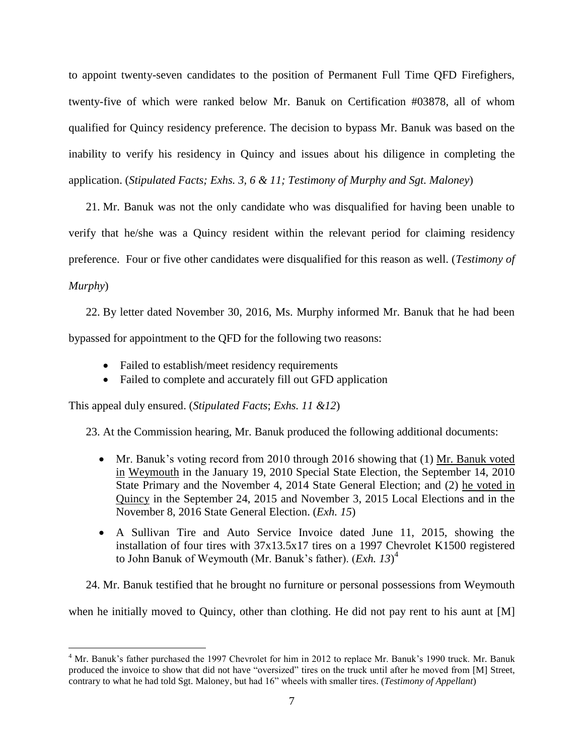to appoint twenty-seven candidates to the position of Permanent Full Time QFD Firefighers, twenty-five of which were ranked below Mr. Banuk on Certification #03878, all of whom qualified for Quincy residency preference. The decision to bypass Mr. Banuk was based on the inability to verify his residency in Quincy and issues about his diligence in completing the application. (*Stipulated Facts; Exhs. 3, 6 & 11; Testimony of Murphy and Sgt. Maloney*)

21. Mr. Banuk was not the only candidate who was disqualified for having been unable to verify that he/she was a Quincy resident within the relevant period for claiming residency preference. Four or five other candidates were disqualified for this reason as well. (*Testimony of Murphy*)

22. By letter dated November 30, 2016, Ms. Murphy informed Mr. Banuk that he had been bypassed for appointment to the QFD for the following two reasons:

- Failed to establish/meet residency requirements
- Failed to complete and accurately fill out GFD application

This appeal duly ensured. (*Stipulated Facts*; *Exhs. 11 &12*)

 $\overline{a}$ 

23. At the Commission hearing, Mr. Banuk produced the following additional documents:

- Mr. Banuk's voting record from 2010 through 2016 showing that (1) Mr. Banuk voted in Weymouth in the January 19, 2010 Special State Election, the September 14, 2010 State Primary and the November 4, 2014 State General Election; and (2) he voted in Quincy in the September 24, 2015 and November 3, 2015 Local Elections and in the November 8, 2016 State General Election. (*Exh. 15*)
- A Sullivan Tire and Auto Service Invoice dated June 11, 2015, showing the installation of four tires with 37x13.5x17 tires on a 1997 Chevrolet K1500 registered to John Banuk of Weymouth (Mr. Banuk's father). (*Exh. 13*) 4

24. Mr. Banuk testified that he brought no furniture or personal possessions from Weymouth

when he initially moved to Quincy, other than clothing. He did not pay rent to his aunt at [M]

<sup>&</sup>lt;sup>4</sup> Mr. Banuk's father purchased the 1997 Chevrolet for him in 2012 to replace Mr. Banuk's 1990 truck. Mr. Banuk produced the invoice to show that did not have "oversized" tires on the truck until after he moved from [M] Street, contrary to what he had told Sgt. Maloney, but had 16" wheels with smaller tires. (*Testimony of Appellant*)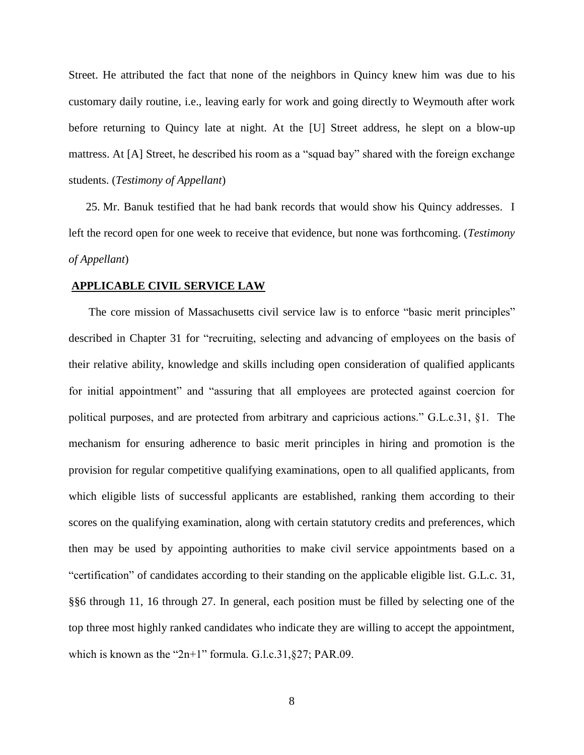Street. He attributed the fact that none of the neighbors in Quincy knew him was due to his customary daily routine, i.e., leaving early for work and going directly to Weymouth after work before returning to Quincy late at night. At the [U] Street address, he slept on a blow-up mattress. At [A] Street, he described his room as a "squad bay" shared with the foreign exchange students. (*Testimony of Appellant*)

25. Mr. Banuk testified that he had bank records that would show his Quincy addresses. I left the record open for one week to receive that evidence, but none was forthcoming. (*Testimony of Appellant*)

# **APPLICABLE CIVIL SERVICE LAW**

The core mission of Massachusetts civil service law is to enforce "basic merit principles" described in Chapter 31 for "recruiting, selecting and advancing of employees on the basis of their relative ability, knowledge and skills including open consideration of qualified applicants for initial appointment" and "assuring that all employees are protected against coercion for political purposes, and are protected from arbitrary and capricious actions." G.L.c.31, §1. The mechanism for ensuring adherence to basic merit principles in hiring and promotion is the provision for regular competitive qualifying examinations, open to all qualified applicants, from which eligible lists of successful applicants are established, ranking them according to their scores on the qualifying examination, along with certain statutory credits and preferences, which then may be used by appointing authorities to make civil service appointments based on a "certification" of candidates according to their standing on the applicable eligible list. G.L.c. 31, §§6 through 11, 16 through 27. In general, each position must be filled by selecting one of the top three most highly ranked candidates who indicate they are willing to accept the appointment, which is known as the "2n+1" formula. G.l.c.31, §27; PAR.09.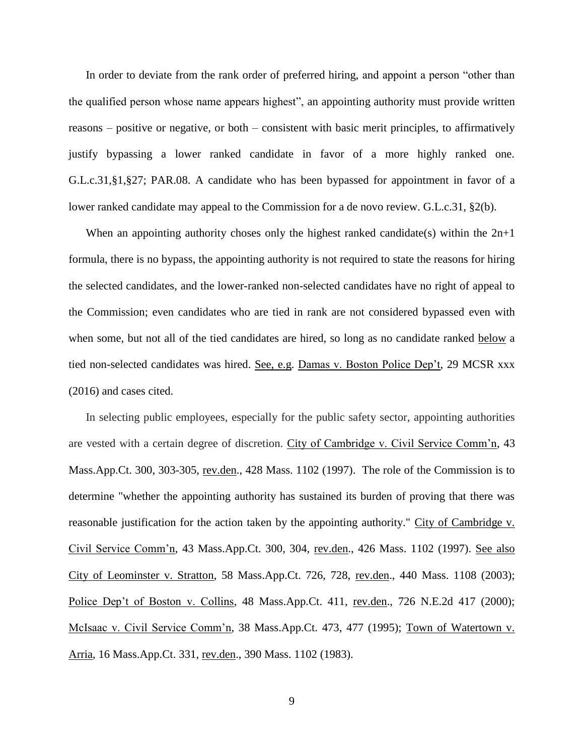In order to deviate from the rank order of preferred hiring, and appoint a person "other than the qualified person whose name appears highest", an appointing authority must provide written reasons – positive or negative, or both – consistent with basic merit principles, to affirmatively justify bypassing a lower ranked candidate in favor of a more highly ranked one. G.L.c.31,§1,§27; PAR.08. A candidate who has been bypassed for appointment in favor of a lower ranked candidate may appeal to the Commission for a de novo review. G.L.c.31, §2(b).

When an appointing authority choses only the highest ranked candidate(s) within the  $2n+1$ formula, there is no bypass, the appointing authority is not required to state the reasons for hiring the selected candidates, and the lower-ranked non-selected candidates have no right of appeal to the Commission; even candidates who are tied in rank are not considered bypassed even with when some, but not all of the tied candidates are hired, so long as no candidate ranked below a tied non-selected candidates was hired. See, e.g. Damas v. Boston Police Dep't, 29 MCSR xxx (2016) and cases cited.

In selecting public employees, especially for the public safety sector, appointing authorities are vested with a certain degree of discretion. City of Cambridge v. Civil Service Comm'n, 43 Mass.App.Ct. 300, 303-305, rev.den., 428 Mass. 1102 (1997). The role of the Commission is to determine "whether the appointing authority has sustained its burden of proving that there was reasonable justification for the action taken by the appointing authority." City of Cambridge v. Civil Service Comm'n, 43 Mass.App.Ct. 300, 304, rev.den., 426 Mass. 1102 (1997). See also City of Leominster v. Stratton, 58 Mass.App.Ct. 726, 728, rev.den., 440 Mass. 1108 (2003); Police Dep't of Boston v. Collins, 48 Mass.App.Ct. 411, rev.den., 726 N.E.2d 417 (2000); McIsaac v. Civil Service Comm'n, 38 Mass.App.Ct. 473, 477 (1995); Town of Watertown v. Arria, 16 Mass.App.Ct. 331, rev.den., 390 Mass. 1102 (1983).

9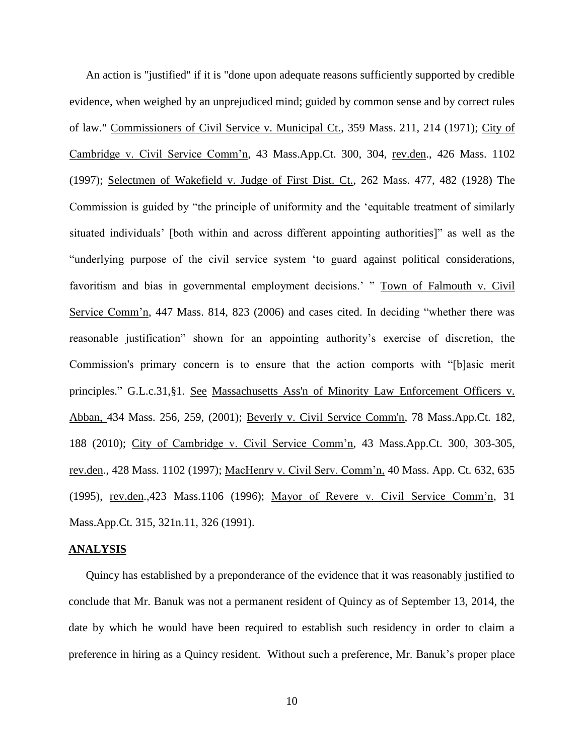An action is "justified" if it is "done upon adequate reasons sufficiently supported by credible evidence, when weighed by an unprejudiced mind; guided by common sense and by correct rules of law." Commissioners of Civil Service v. Municipal Ct., 359 Mass. 211, 214 (1971); City of Cambridge v. Civil Service Comm'n, 43 Mass.App.Ct. 300, 304, rev.den., 426 Mass. 1102 (1997); Selectmen of Wakefield v. Judge of First Dist. Ct., 262 Mass. 477, 482 (1928) The Commission is guided by "the principle of uniformity and the 'equitable treatment of similarly situated individuals' [both within and across different appointing authorities]" as well as the "underlying purpose of the civil service system 'to guard against political considerations, favoritism and bias in governmental employment decisions.' " Town of Falmouth v. Civil Service Comm'n, 447 Mass. 814, 823 (2006) and cases cited. In deciding "whether there was reasonable justification" shown for an appointing authority's exercise of discretion, the Commission's primary concern is to ensure that the action comports with "[b]asic merit principles." [G.L.c.31,§1.](http://web2.westlaw.com/find/default.wl?mt=Massachusetts&db=1000042&rs=WLW15.04&docname=MAST31S1&rp=%2ffind%2fdefault.wl&findtype=L&ordoc=2029136022&tc=-1&vr=2.0&fn=_top&sv=Split&tf=-1&pbc=70F732C1&utid=1) See Massachusetts Ass'n of Minority Law Enforcement Officers v. Abban, [434 Mass. 256, 259, \(2001\);](http://web2.westlaw.com/find/default.wl?mt=Massachusetts&db=578&rs=WLW15.04&tc=-1&rp=%2ffind%2fdefault.wl&findtype=Y&ordoc=2029136022&serialnum=2001441097&vr=2.0&fn=_top&sv=Split&tf=-1&pbc=70F732C1&utid=1) [Beverly v. Civil Service Comm'n, 78 Mass.App.Ct. 182,](http://web2.westlaw.com/find/default.wl?mt=Massachusetts&db=578&rs=WLW15.04&tc=-1&rp=%2ffind%2fdefault.wl&findtype=Y&ordoc=2029136022&serialnum=2023501172&vr=2.0&fn=_top&sv=Split&tf=-1&pbc=70F732C1&utid=1)  [188 \(2010\);](http://web2.westlaw.com/find/default.wl?mt=Massachusetts&db=578&rs=WLW15.04&tc=-1&rp=%2ffind%2fdefault.wl&findtype=Y&ordoc=2029136022&serialnum=2023501172&vr=2.0&fn=_top&sv=Split&tf=-1&pbc=70F732C1&utid=1) City of Cambridge v. Civil Service Comm'n, 43 Mass.App.Ct. 300, 303-305, rev.den., 428 Mass. 1102 (1997); MacHenry v. Civil Serv. Comm'n, 40 Mass. App. Ct. 632, 635 (1995), rev.den.,423 Mass.1106 (1996); Mayor of Revere v. Civil Service Comm'n, 31 Mass.App.Ct. 315, 321n.11, 326 (1991).

#### **ANALYSIS**

Quincy has established by a preponderance of the evidence that it was reasonably justified to conclude that Mr. Banuk was not a permanent resident of Quincy as of September 13, 2014, the date by which he would have been required to establish such residency in order to claim a preference in hiring as a Quincy resident. Without such a preference, Mr. Banuk's proper place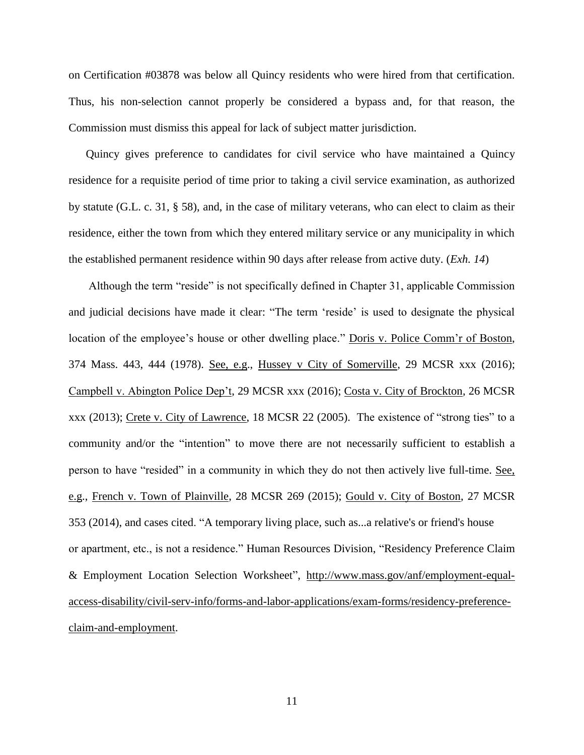on Certification #03878 was below all Quincy residents who were hired from that certification. Thus, his non-selection cannot properly be considered a bypass and, for that reason, the Commission must dismiss this appeal for lack of subject matter jurisdiction.

Quincy gives preference to candidates for civil service who have maintained a Quincy residence for a requisite period of time prior to taking a civil service examination, as authorized by statute (G.L. c. 31, § 58), and, in the case of military veterans, who can elect to claim as their residence, either the town from which they entered military service or any municipality in which the established permanent residence within 90 days after release from active duty. (*Exh. 14*)

Although the term "reside" is not specifically defined in Chapter 31, applicable Commission and judicial decisions have made it clear: "The term 'reside' is used to designate the physical location of the employee's house or other dwelling place." Doris v. Police Comm'r of Boston, 374 Mass. 443, 444 (1978). See, e.g., Hussey v City of Somerville, 29 MCSR xxx (2016); Campbell v. Abington Police Dep't, 29 MCSR xxx (2016); Costa v. City of Brockton, 26 MCSR xxx (2013); Crete v. City of Lawrence, 18 MCSR 22 (2005). The existence of "strong ties" to a community and/or the "intention" to move there are not necessarily sufficient to establish a person to have "resided" in a community in which they do not then actively live full-time. See, e.g., French v. Town of Plainville, 28 MCSR 269 (2015); Gould v. City of Boston, 27 MCSR 353 (2014), and cases cited. "A temporary living place, such as...a relative's or friend's house or apartment, etc., is not a residence." Human Resources Division, "Residency Preference Claim & Employment Location Selection Worksheet", http://www.mass.gov/anf/employment-equalaccess-disability/civil-serv-info/forms-and-labor-applications/exam-forms/residency-preferenceclaim-and-employment.

11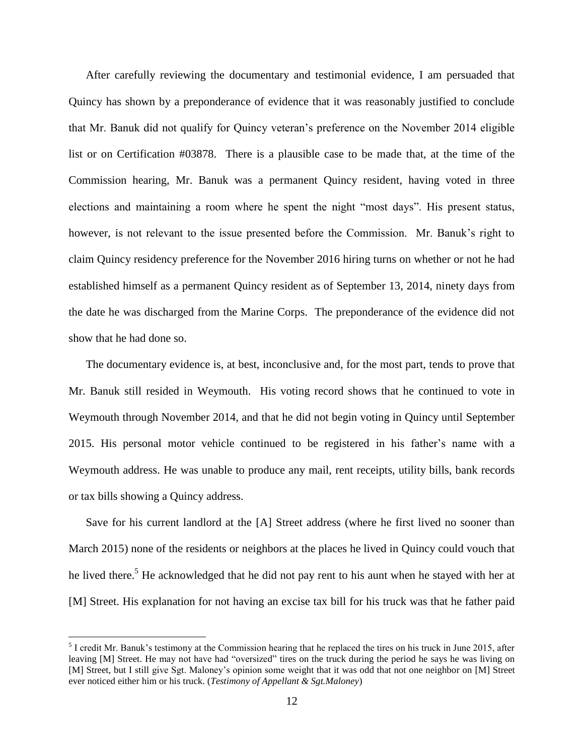After carefully reviewing the documentary and testimonial evidence, I am persuaded that Quincy has shown by a preponderance of evidence that it was reasonably justified to conclude that Mr. Banuk did not qualify for Quincy veteran's preference on the November 2014 eligible list or on Certification #03878. There is a plausible case to be made that, at the time of the Commission hearing, Mr. Banuk was a permanent Quincy resident, having voted in three elections and maintaining a room where he spent the night "most days". His present status, however, is not relevant to the issue presented before the Commission. Mr. Banuk's right to claim Quincy residency preference for the November 2016 hiring turns on whether or not he had established himself as a permanent Quincy resident as of September 13, 2014, ninety days from the date he was discharged from the Marine Corps. The preponderance of the evidence did not show that he had done so.

The documentary evidence is, at best, inconclusive and, for the most part, tends to prove that Mr. Banuk still resided in Weymouth. His voting record shows that he continued to vote in Weymouth through November 2014, and that he did not begin voting in Quincy until September 2015. His personal motor vehicle continued to be registered in his father's name with a Weymouth address. He was unable to produce any mail, rent receipts, utility bills, bank records or tax bills showing a Quincy address.

Save for his current landlord at the [A] Street address (where he first lived no sooner than March 2015) none of the residents or neighbors at the places he lived in Quincy could vouch that he lived there.<sup>5</sup> He acknowledged that he did not pay rent to his aunt when he stayed with her at [M] Street. His explanation for not having an excise tax bill for his truck was that he father paid

 $\overline{a}$ 

 $<sup>5</sup>$  I credit Mr. Banuk's testimony at the Commission hearing that he replaced the tires on his truck in June 2015, after</sup> leaving [M] Street. He may not have had "oversized" tires on the truck during the period he says he was living on [M] Street, but I still give Sgt. Maloney's opinion some weight that it was odd that not one neighbor on [M] Street ever noticed either him or his truck. (*Testimony of Appellant & Sgt.Maloney*)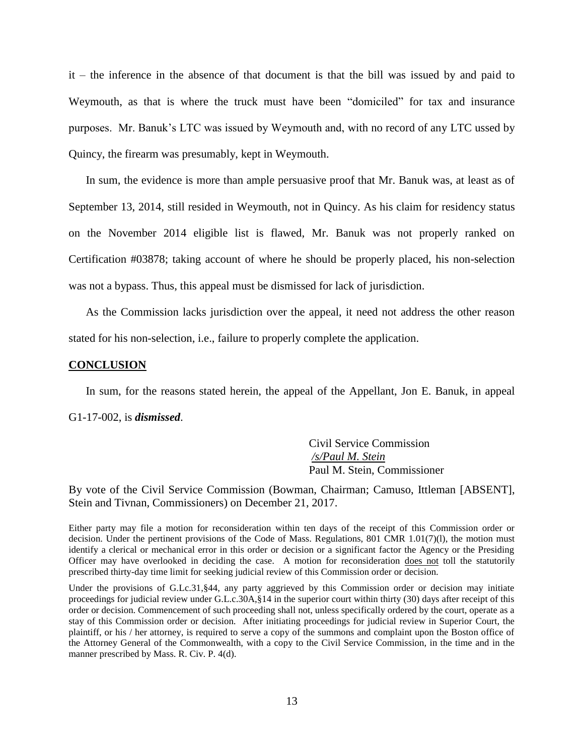it – the inference in the absence of that document is that the bill was issued by and paid to Weymouth, as that is where the truck must have been "domiciled" for tax and insurance purposes. Mr. Banuk's LTC was issued by Weymouth and, with no record of any LTC ussed by Quincy, the firearm was presumably, kept in Weymouth.

In sum, the evidence is more than ample persuasive proof that Mr. Banuk was, at least as of September 13, 2014, still resided in Weymouth, not in Quincy. As his claim for residency status on the November 2014 eligible list is flawed, Mr. Banuk was not properly ranked on Certification #03878; taking account of where he should be properly placed, his non-selection was not a bypass. Thus, this appeal must be dismissed for lack of jurisdiction.

As the Commission lacks jurisdiction over the appeal, it need not address the other reason stated for his non-selection, i.e., failure to properly complete the application.

#### **CONCLUSION**

In sum, for the reasons stated herein, the appeal of the Appellant, Jon E. Banuk, in appeal G1-17-002, is *dismissed*.

> Civil Service Commission */s/Paul M. Stein*  Paul M. Stein, Commissioner

By vote of the Civil Service Commission (Bowman, Chairman; Camuso, Ittleman [ABSENT], Stein and Tivnan, Commissioners) on December 21, 2017.

Either party may file a motion for reconsideration within ten days of the receipt of this Commission order or decision. Under the pertinent provisions of the Code of Mass. Regulations, 801 CMR 1.01(7)(l), the motion must identify a clerical or mechanical error in this order or decision or a significant factor the Agency or the Presiding Officer may have overlooked in deciding the case. A motion for reconsideration does not toll the statutorily prescribed thirty-day time limit for seeking judicial review of this Commission order or decision.

Under the provisions of G.Lc.31, §44, any party aggrieved by this Commission order or decision may initiate proceedings for judicial review under G.L.c.30A,§14 in the superior court within thirty (30) days after receipt of this order or decision. Commencement of such proceeding shall not, unless specifically ordered by the court, operate as a stay of this Commission order or decision. After initiating proceedings for judicial review in Superior Court, the plaintiff, or his / her attorney, is required to serve a copy of the summons and complaint upon the Boston office of the Attorney General of the Commonwealth, with a copy to the Civil Service Commission, in the time and in the manner prescribed by Mass. R. Civ. P. 4(d).